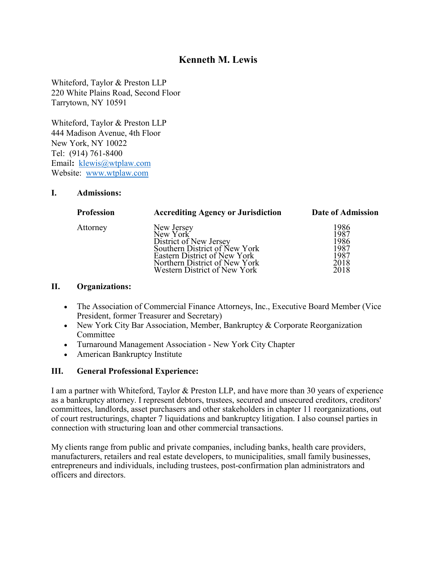# **Kenneth M. Lewis**

Whiteford, Taylor & Preston LLP 220 White Plains Road, Second Floor Tarrytown, NY 10591

Whiteford, Taylor & Preston LLP 444 Madison Avenue, 4th Floor New York, NY 10022 Tel: (914) 761-8400 Email**:** [klewis@wtplaw.com](mailto:klewis@wtplaw.com) Website: [www.wtplaw.com](http://www.wtplaw.com/)

#### **I. Admissions:**

| New Jersey<br>New York                                  | 1986<br>1987 |
|---------------------------------------------------------|--------------|
| Attorney                                                | 1986         |
| District of New Jersey<br>Southern District of New York | 1987         |
| Eastern District of New York                            | 1987         |
| Northern District of New York                           | 2018         |
| Western District of New York                            | 2018         |

#### **II. Organizations:**

- The Association of Commercial Finance Attorneys, Inc., Executive Board Member (Vice President, former Treasurer and Secretary)
- New York City Bar Association, Member, Bankruptcy & Corporate Reorganization Committee
- Turnaround Management Association New York City Chapter
- American Bankruptcy Institute

## **III. General Professional Experience:**

I am a partner with Whiteford, Taylor & Preston LLP, and have more than 30 years of experience as a bankruptcy attorney. I represent debtors, trustees, secured and unsecured creditors, creditors' committees, landlords, asset purchasers and other stakeholders in chapter 11 reorganizations, out of court restructurings, chapter 7 liquidations and bankruptcy litigation. I also counsel parties in connection with structuring loan and other commercial transactions.

My clients range from public and private companies, including banks, health care providers, manufacturers, retailers and real estate developers, to municipalities, small family businesses, entrepreneurs and individuals, including trustees, post-confirmation plan administrators and officers and directors.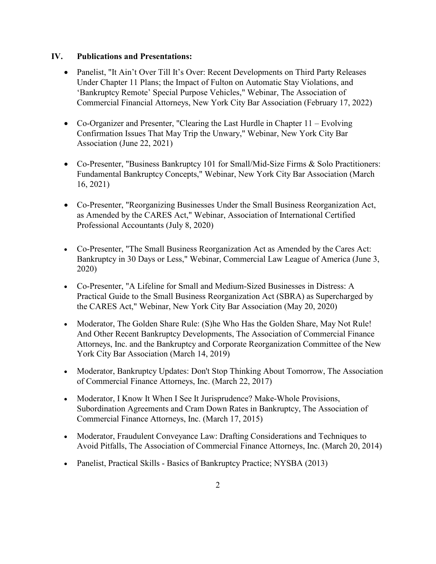#### **IV. Publications and Presentations:**

- Panelist, "It Ain't Over Till It's Over: Recent Developments on Third Party Releases Under Chapter 11 Plans; the Impact of Fulton on Automatic Stay Violations, and 'Bankruptcy Remote' Special Purpose Vehicles," Webinar, The Association of Commercial Financial Attorneys, New York City Bar Association (February 17, 2022)
- Co-Organizer and Presenter, "Clearing the Last Hurdle in Chapter  $11 -$  Evolving Confirmation Issues That May Trip the Unwary," Webinar, New York City Bar Association (June 22, 2021)
- Co-Presenter, "Business Bankruptcy 101 for Small/Mid-Size Firms & Solo Practitioners: Fundamental Bankruptcy Concepts," Webinar, New York City Bar Association (March 16, 2021)
- Co-Presenter, "Reorganizing Businesses Under the Small Business Reorganization Act, as Amended by the CARES Act," Webinar, Association of International Certified Professional Accountants (July 8, 2020)
- Co-Presenter, "The Small Business Reorganization Act as Amended by the Cares Act: Bankruptcy in 30 Days or Less," Webinar, Commercial Law League of America (June 3, 2020)
- Co-Presenter, "A Lifeline for Small and Medium-Sized Businesses in Distress: A Practical Guide to the Small Business Reorganization Act (SBRA) as Supercharged by the CARES Act," Webinar, New York City Bar Association (May 20, 2020)
- Moderator, The Golden Share Rule: (S) he Who Has the Golden Share, May Not Rule! And Other Recent Bankruptcy Developments, The Association of Commercial Finance Attorneys, Inc. and the Bankruptcy and Corporate Reorganization Committee of the New York City Bar Association (March 14, 2019)
- Moderator, Bankruptcy Updates: Don't Stop Thinking About Tomorrow, The Association of Commercial Finance Attorneys, Inc. (March 22, 2017)
- Moderator, I Know It When I See It Jurisprudence? Make-Whole Provisions, Subordination Agreements and Cram Down Rates in Bankruptcy, The Association of Commercial Finance Attorneys, Inc. (March 17, 2015)
- Moderator, Fraudulent Conveyance Law: Drafting Considerations and Techniques to Avoid Pitfalls, The Association of Commercial Finance Attorneys, Inc. (March 20, 2014)
- Panelist, Practical Skills Basics of Bankruptcy Practice; NYSBA (2013)